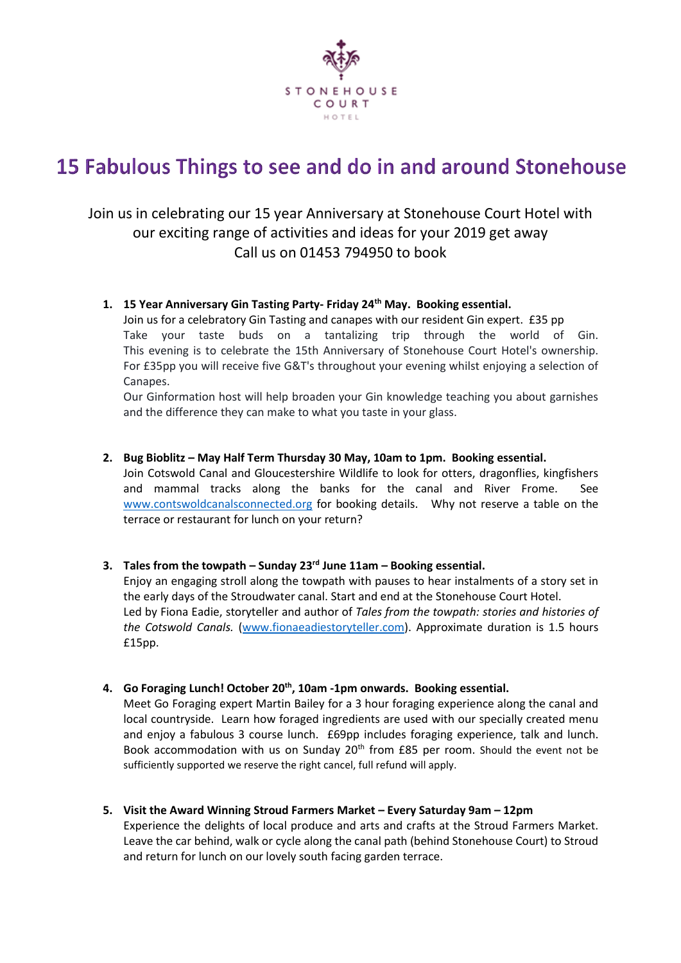

# 15 Fabulous Things to see and do in and around Stonehouse

# Join us in celebrating our 15 year Anniversary at Stonehouse Court Hotel with our exciting range of activities and ideas for your 2019 get away Call us on 01453 794950 to book

# **1. 15 Year Anniversary Gin Tasting Party- Friday 24th May. Booking essential.**

Join us for a celebratory Gin Tasting and canapes with our resident Gin expert. £35 pp Take your taste buds on a tantalizing trip through the world of Gin. This evening is to celebrate the 15th Anniversary of Stonehouse Court Hotel's ownership. For £35pp you will receive five G&T's throughout your evening whilst enjoying a selection of Canapes.

Our Ginformation host will help broaden your Gin knowledge teaching you about garnishes and the difference they can make to what you taste in your glass.

**2. Bug Bioblitz – May Half Term Thursday 30 May, 10am to 1pm. Booking essential.** Join Cotswold Canal and Gloucestershire Wildlife to look for otters, dragonflies, kingfishers and mammal tracks along the banks for the canal and River Frome. See [www.contswoldcanalsconnected.org](http://www.contswoldcanalsconnected.org/) for booking details. Why not reserve a table on the terrace or restaurant for lunch on your return?

### **3. Tales from the towpath – Sunday 23rd June 11am – Booking essential.**

Enjoy an engaging stroll along the towpath with pauses to hear instalments of a story set in the early days of the Stroudwater canal. Start and end at the Stonehouse Court Hotel. Led by Fiona Eadie, storyteller and author of *Tales from the towpath: stories and histories of the Cotswold Canals.* [\(www.fionaeadiestoryteller.com\)](http://www.fionaeadiestoryteller.com/). Approximate duration is 1.5 hours £15pp.

**4. Go Foraging Lunch! October 20th, 10am -1pm onwards. Booking essential.**

Meet Go Foraging expert Martin Bailey for a 3 hour foraging experience along the canal and local countryside. Learn how foraged ingredients are used with our specially created menu and enjoy a fabulous 3 course lunch. £69pp includes foraging experience, talk and lunch. Book accommodation with us on Sunday  $20<sup>th</sup>$  from £85 per room. Should the event not be sufficiently supported we reserve the right cancel, full refund will apply.

**5. Visit the Award Winning Stroud Farmers Market – Every Saturday 9am – 12pm**

Experience the delights of local produce and arts and crafts at the Stroud Farmers Market. Leave the car behind, walk or cycle along the canal path (behind Stonehouse Court) to Stroud and return for lunch on our lovely south facing garden terrace.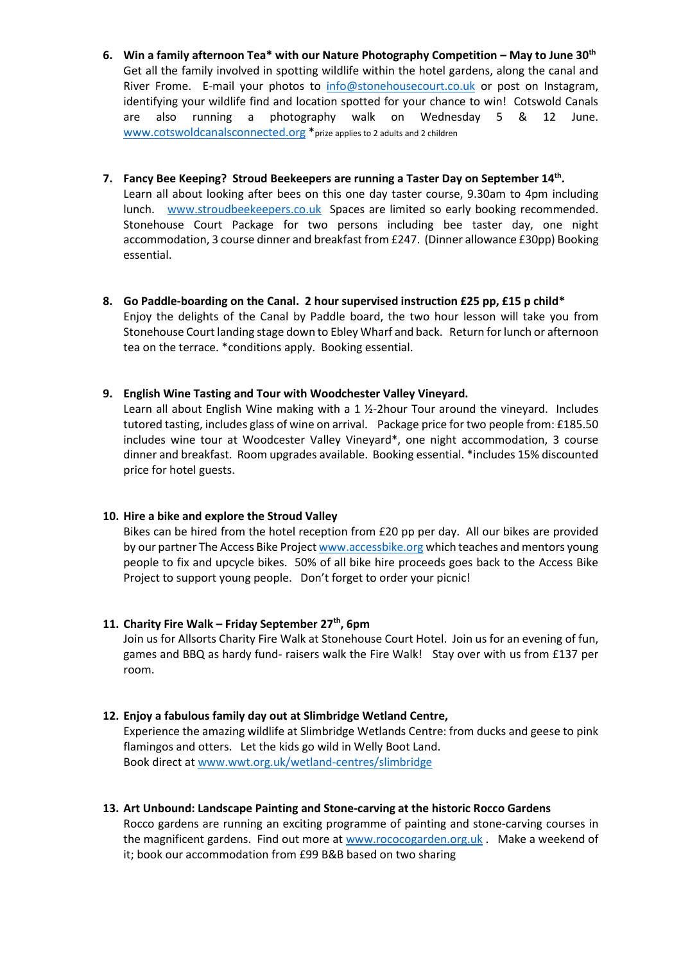- **6. Win a family afternoon Tea\* with our Nature Photography Competition – May to June 30th** Get all the family involved in spotting wildlife within the hotel gardens, along the canal and River Frome. E-mail your photos to [info@stonehousecourt.co.uk](mailto:info@stonehousecourt.co.uk) or post on Instagram, identifying your wildlife find and location spotted for your chance to win! Cotswold Canals are also running a photography walk on Wednesday 5 & 12 June. [www.cotswoldcanalsconnected.org](http://www.cotswoldcanalsconnected.org/) \*prize applies to 2 adults and 2 children
- **7. Fancy Bee Keeping? Stroud Beekeepers are running a Taster Day on September 14th .**  Learn all about looking after bees on this one day taster course, 9.30am to 4pm including lunch. [www.stroudbeekeepers.co.uk](http://www.stroudbeekeepers.co.uk/) Spaces are limited so early booking recommended. Stonehouse Court Package for two persons including bee taster day, one night accommodation, 3 course dinner and breakfast from £247. (Dinner allowance £30pp) Booking essential.
- **8. Go Paddle-boarding on the Canal. 2 hour supervised instruction £25 pp, £15 p child\*** Enjoy the delights of the Canal by Paddle board, the two hour lesson will take you from Stonehouse Court landing stage down to Ebley Wharf and back. Return for lunch or afternoon tea on the terrace. \*conditions apply. Booking essential.
- **9. English Wine Tasting and Tour with Woodchester Valley Vineyard.**

Learn all about English Wine making with a 1  $\frac{1}{2}$ -2hour Tour around the vineyard. Includes tutored tasting, includes glass of wine on arrival. Package price for two people from: £185.50 includes wine tour at Woodcester Valley Vineyard\*, one night accommodation, 3 course dinner and breakfast. Room upgrades available. Booking essential. \*includes 15% discounted price for hotel guests.

### **10. Hire a bike and explore the Stroud Valley**

Bikes can be hired from the hotel reception from £20 pp per day. All our bikes are provided by our partner The Access Bike Project [www.accessbike.org](http://www.accessbike.org/) which teaches and mentors young people to fix and upcycle bikes. 50% of all bike hire proceeds goes back to the Access Bike Project to support young people. Don't forget to order your picnic!

# **11. Charity Fire Walk – Friday September 27th, 6pm**

Join us for Allsorts Charity Fire Walk at Stonehouse Court Hotel. Join us for an evening of fun, games and BBQ as hardy fund- raisers walk the Fire Walk! Stay over with us from £137 per room.

# **12. Enjoy a fabulous family day out at Slimbridge Wetland Centre,**

Experience the amazing wildlife at Slimbridge Wetlands Centre: from ducks and geese to pink flamingos and otters. Let the kids go wild in Welly Boot Land. Book direct at [www.wwt.org.uk/wetland-centres/slimbridge](http://www.wwt.org.uk/wetland-centres/slimbridge)

### **13. Art Unbound: Landscape Painting and Stone-carving at the historic Rocco Gardens**

Rocco gardens are running an exciting programme of painting and stone-carving courses in the magnificent gardens. Find out more at [www.rococogarden.org.uk](http://www.rococogarden.org.uk/) . Make a weekend of it; book our accommodation from £99 B&B based on two sharing